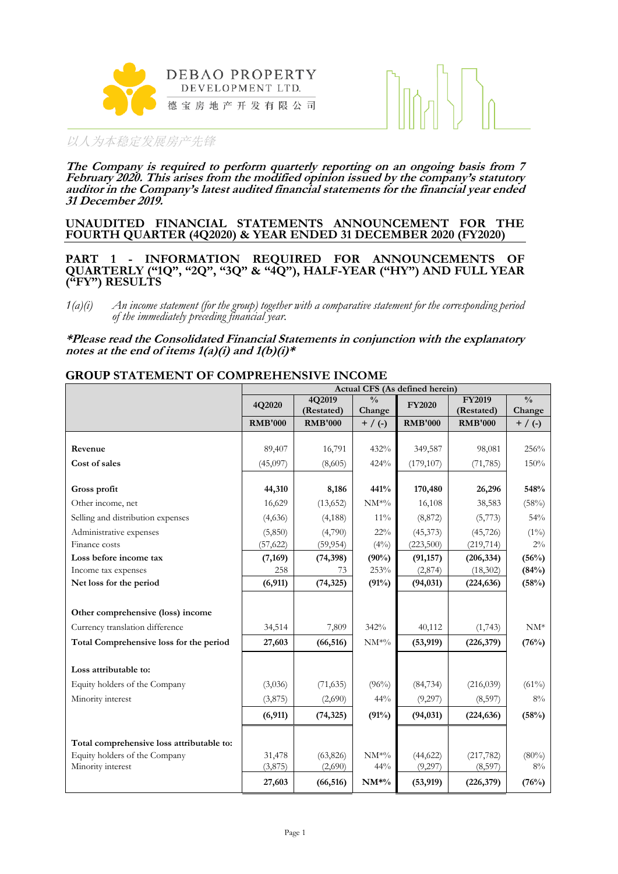



**The Company is required to perform quarterly reporting on an ongoing basis from 7 February 2020. This arises from the modified opinion issued by the company's statutory auditor in the Company's latest audited financial statements for the financial year ended 31 December 2019.**

#### **UNAUDITED FINANCIAL STATEMENTS ANNOUNCEMENT FOR THE FOURTH QUARTER (4Q2020) & YEAR ENDED 31 DECEMBER 2020 (FY2020)**

**PART 1 - INFORMATION REQUIRED FOR ANNOUNCEMENTS OF QUARTERLY ("1Q", "2Q", "3Q" & "4Q"), HALF-YEAR ("HY") AND FULL YEAR ("FY") RESULTS**

*1(a)(i) An income statement (for the group) together with a comparative statement for the corresponding period of the immediately preceding financial year.*

**\*Please read the Consolidated Financial Statements in conjunction with the explanatory notes at the end of items 1(a)(i) and 1(b)(i)\***

#### **GROUP STATEMENT OF COMPREHENSIVE INCOME**

|                                                    |                   |                      |                                | Actual CFS (As defined herein) |                       |                |
|----------------------------------------------------|-------------------|----------------------|--------------------------------|--------------------------------|-----------------------|----------------|
|                                                    | 4Q2020            | 4Q2019               | $\frac{0}{0}$                  | <b>FY2020</b>                  | <b>FY2019</b>         | $\frac{0}{0}$  |
|                                                    |                   | (Restated)           | Change                         |                                | (Restated)            | Change         |
|                                                    | <b>RMB'000</b>    | <b>RMB'000</b>       | $+ / ( - )$                    | <b>RMB'000</b>                 | <b>RMB'000</b>        | $+$ / (-)      |
|                                                    |                   |                      |                                |                                |                       |                |
| Revenue                                            | 89,407            | 16,791               | 432%                           | 349,587                        | 98,081                | 256%           |
| Cost of sales                                      | (45,097)          | (8,605)              | 424%                           | (179, 107)                     | (71, 785)             | 150%           |
| Gross profit                                       | 44,310            | 8,186                | 441%                           | 170,480                        | 26,296                | 548%           |
| Other income, net                                  | 16,629            | (13,652)             | $\text{NM}^{\ast0}\!/\!{}_{0}$ | 16,108                         | 38,583                | (58%)          |
| Selling and distribution expenses                  | (4,636)           | (4, 188)             | $11\%$                         | (8,872)                        | (5,773)               | 54%            |
| Administrative expenses                            | (5,850)           | (4,790)              | 22%                            | (45,373)                       | (45, 726)             | $(1\%)$        |
| Finance costs                                      | (57, 622)         | (59, 954)            | $(4\%)$                        | (223,500)                      | (219, 714)            | $2\%$          |
| Loss before income tax                             | (7,169)           | (74, 398)            | (90%)                          | (91, 157)                      | (206, 334)            | (56%)          |
| Income tax expenses                                | 258               | 73                   | 253%                           | (2,874)                        | (18, 302)             | (84%)          |
| Net loss for the period                            | (6, 911)          | (74, 325)            | (91%)                          | (94, 031)                      | (224, 636)            | (58%)          |
|                                                    |                   |                      |                                |                                |                       |                |
| Other comprehensive (loss) income                  |                   |                      |                                |                                |                       |                |
| Currency translation difference                    | 34,514            | 7,809                | 342%                           | 40,112                         | (1,743)               | $NM^*$         |
| Total Comprehensive loss for the period            | 27,603            | (66, 516)            | $NM^{*0}\!/$                   | (53, 919)                      | (226,379)             | (76%)          |
| Loss attributable to:                              |                   |                      |                                |                                |                       |                |
| Equity holders of the Company                      | (3,036)           |                      | $(96\%)$                       |                                | (216, 039)            | $(61\%)$       |
|                                                    |                   | (71, 635)            |                                | (84, 734)                      |                       |                |
| Minority interest                                  | (3,875)           | (2,690)              | 44%                            | (9,297)                        | (8,597)               | $8\%$          |
|                                                    | (6, 911)          | (74, 325)            | (91%)                          | (94, 031)                      | (224, 636)            | (58%)          |
|                                                    |                   |                      |                                |                                |                       |                |
| Total comprehensive loss attributable to:          |                   |                      |                                |                                |                       |                |
| Equity holders of the Company<br>Minority interest | 31,478<br>(3,875) | (63, 826)<br>(2,690) | $NM^{*0}\!/$<br>44%            | (44, 622)<br>(9,297)           | (217, 782)<br>(8,597) | $(80\%)$<br>8% |
|                                                    | 27,603            | (66, 516)            | $NM*%$                         | (53, 919)                      | (226,379)             | (76%)          |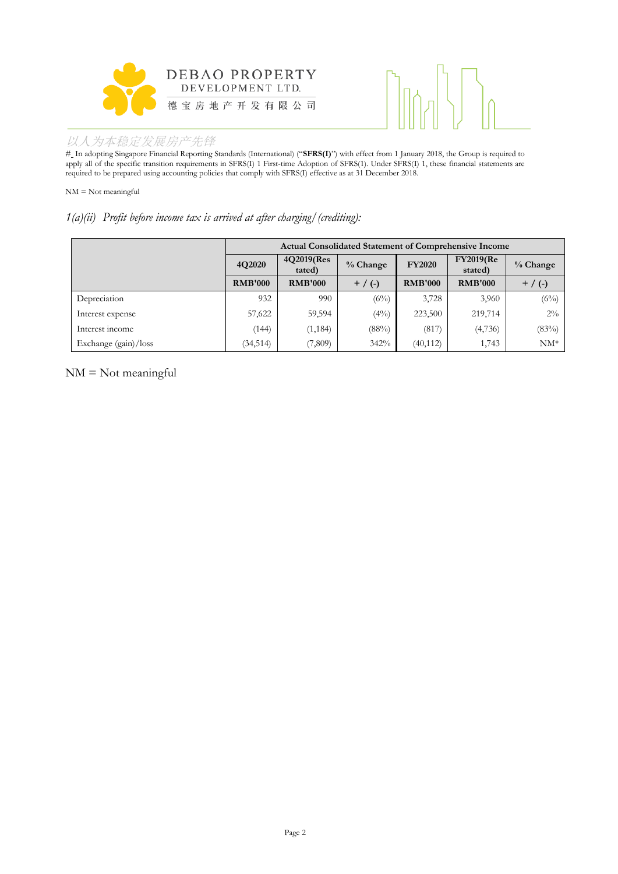



# In adopting Singapore Financial Reporting Standards (International) ("**SFRS(I)**") with effect from 1 January 2018, the Group is required to apply all of the specific transition requirements in SFRS(I) 1 First-time Adoption of SFRS(1). Under SFRS(I) 1, these financial statements are required to be prepared using accounting policies that comply with SFRS(I) effective as at 31 December 2018.

NM = Not meaningful

#### *1(a)(ii) Profit before income tax is arrived at after charging/(crediting):*

|                      | <b>Actual Consolidated Statement of Comprehensive Income</b> |                      |           |                |                             |           |  |
|----------------------|--------------------------------------------------------------|----------------------|-----------|----------------|-----------------------------|-----------|--|
|                      | 4Q2020                                                       | 4Q2019(Res<br>tated) | % Change  | <b>FY2020</b>  | <b>FY2019(Re</b><br>stated) | % Change  |  |
|                      | <b>RMB'000</b>                                               | <b>RMB'000</b>       | $+$ / (-) | <b>RMB'000</b> | <b>RMB'000</b>              | $+$ / (-) |  |
| Depreciation         | 932                                                          | 990                  | $(6\%)$   | 3,728          | 3,960                       | $(6\%)$   |  |
| Interest expense     | 57,622                                                       | 59,594               | $(4\%)$   | 223,500        | 219,714                     | $2\%$     |  |
| Interest income      | (144)                                                        | (1, 184)             | (88%)     | (817)          | (4,736)                     | (83%)     |  |
| Exchange (gain)/loss | (34, 514)                                                    | (7,809)              | 342%      | (40, 112)      | 1,743                       | $NM^*$    |  |

NM = Not meaningful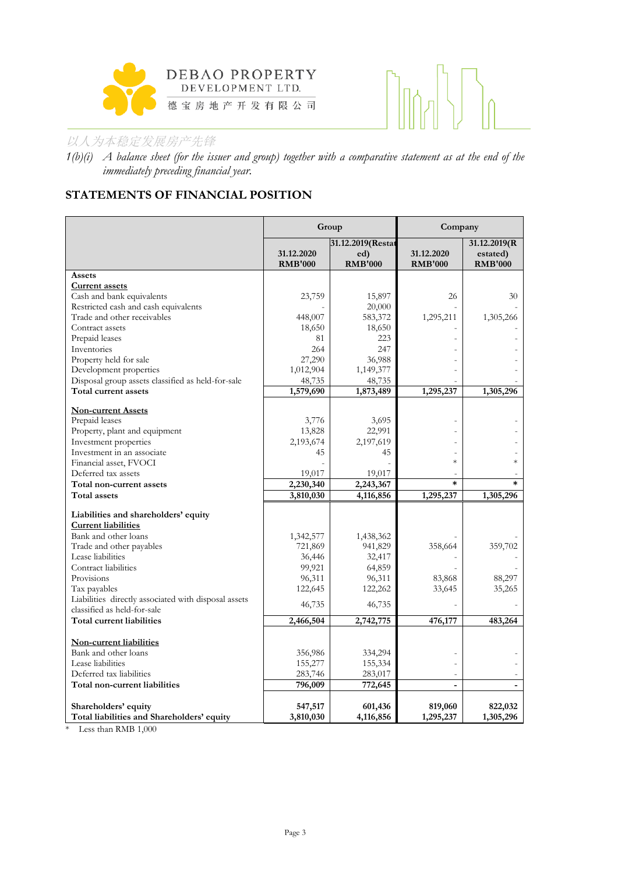



*1(b)(i) A balance sheet (for the issuer and group) together with a comparative statement as at the end of the immediately preceding financial year.*

# **STATEMENTS OF FINANCIAL POSITION**

|                                                      | Group          |                   | Company        |                |  |
|------------------------------------------------------|----------------|-------------------|----------------|----------------|--|
|                                                      |                | 31.12.2019(Restat |                | 31.12.2019(R   |  |
|                                                      | 31.12.2020     | ed)               | 31.12.2020     | estated)       |  |
|                                                      | <b>RMB'000</b> | <b>RMB'000</b>    | <b>RMB'000</b> | <b>RMB'000</b> |  |
| Assets                                               |                |                   |                |                |  |
| <b>Current assets</b><br>Cash and bank equivalents   | 23,759         | 15,897            | 26             | 30             |  |
| Restricted cash and cash equivalents                 |                | 20,000            |                |                |  |
| Trade and other receivables                          | 448,007        | 583,372           | 1,295,211      | 1,305,266      |  |
| Contract assets                                      | 18,650         | 18,650            |                |                |  |
| Prepaid leases                                       | 81             | 223               |                |                |  |
| Inventories                                          | 264            | 247               |                |                |  |
| Property held for sale                               | 27,290         | 36,988            |                |                |  |
| Development properties                               | 1,012,904      | 1,149,377         |                |                |  |
| Disposal group assets classified as held-for-sale    | 48,735         | 48,735            |                |                |  |
| Total current assets                                 | 1,579,690      | 1,873,489         | 1,295,237      | 1,305,296      |  |
|                                                      |                |                   |                |                |  |
| <b>Non-current Assets</b>                            |                |                   |                |                |  |
| Prepaid leases                                       | 3,776          | 3,695             |                |                |  |
| Property, plant and equipment                        | 13,828         | 22,991            |                |                |  |
| Investment properties                                | 2,193,674      | 2,197,619         |                |                |  |
| Investment in an associate                           | 45             | 45                |                |                |  |
| Financial asset, FVOCI                               |                |                   | $\ast$         | $\ast$         |  |
| Deferred tax assets                                  | 19,017         | 19,017            |                |                |  |
| Total non-current assets                             | 2,230,340      | 2,243,367         | $\ast$         | $\ast$         |  |
| <b>Total assets</b>                                  | 3,810,030      | 4,116,856         | 1,295,237      | 1,305,296      |  |
| Liabilities and shareholders' equity                 |                |                   |                |                |  |
| <b>Current liabilities</b>                           |                |                   |                |                |  |
| Bank and other loans                                 | 1,342,577      | 1,438,362         |                |                |  |
| Trade and other payables                             | 721,869        | 941,829           | 358,664        | 359,702        |  |
| Lease liabilities                                    | 36,446         | 32,417            |                |                |  |
| Contract liabilities                                 | 99,921         | 64,859            |                |                |  |
| Provisions                                           | 96,311         | 96,311            | 83,868         | 88,297         |  |
| Tax payables                                         | 122,645        | 122,262           | 33,645         | 35,265         |  |
| Liabilities directly associated with disposal assets |                |                   |                |                |  |
| classified as held-for-sale                          | 46,735         | 46,735            |                |                |  |
| Total current liabilities                            | 2,466,504      | 2,742,775         | 476,177        | 483,264        |  |
|                                                      |                |                   |                |                |  |
| Non-current liabilities                              |                |                   |                |                |  |
| Bank and other loans                                 | 356,986        | 334,294           |                |                |  |
| Lease liabilities                                    | 155,277        | 155,334           |                |                |  |
| Deferred tax liabilities                             | 283,746        | 283,017           |                |                |  |
| Total non-current liabilities                        | 796,009        | 772,645           |                |                |  |
|                                                      |                |                   |                |                |  |
| Shareholders' equity                                 | 547,517        | 601,436           | 819,060        | 822,032        |  |
| Total liabilities and Shareholders' equity           | 3,810,030      | 4,116,856         | 1,295,237      | 1,305,296      |  |

\* Less than RMB 1,000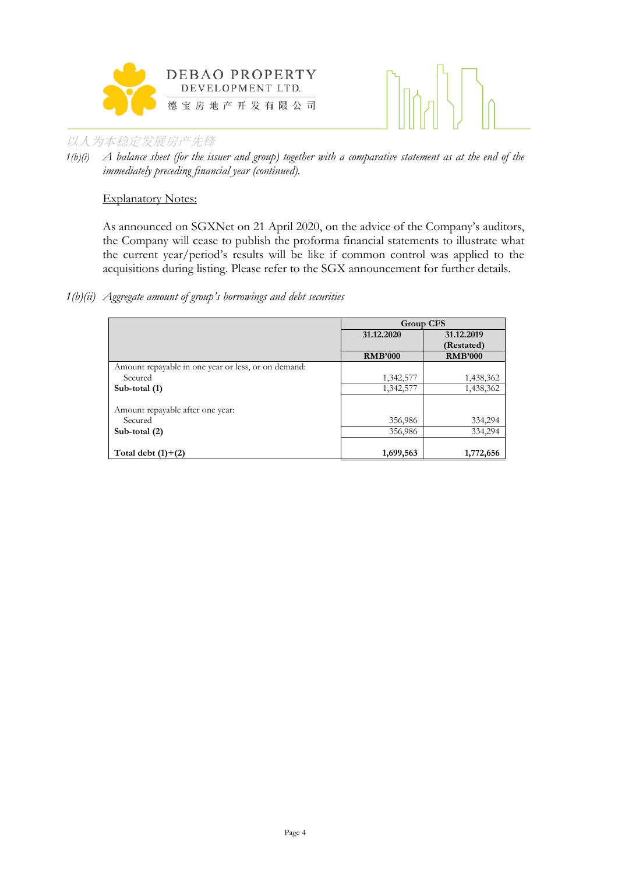



#### Explanatory Notes:

As announced on SGXNet on 21 April 2020, on the advice of the Company's auditors, the Company will cease to publish the proforma financial statements to illustrate what the current year/period's results will be like if common control was applied to the acquisitions during listing. Please refer to the SGX announcement for further details.

#### *1(b)(ii) Aggregate amount of group's borrowings and debt securities*

|                                                     | <b>Group CFS</b>         |                |  |
|-----------------------------------------------------|--------------------------|----------------|--|
|                                                     | 31.12.2020<br>31.12.2019 |                |  |
|                                                     |                          | (Restated)     |  |
|                                                     | <b>RMB'000</b>           | <b>RMB'000</b> |  |
| Amount repayable in one year or less, or on demand: |                          |                |  |
| Secured                                             | 1,342,577                | 1,438,362      |  |
| Sub-total (1)                                       | 1,342,577                | 1,438,362      |  |
|                                                     |                          |                |  |
| Amount repayable after one year:                    |                          |                |  |
| Secured                                             | 356,986                  | 334,294        |  |
| Sub-total $(2)$                                     | 356,986                  | 334,294        |  |
|                                                     |                          |                |  |
| Total debt $(1)+(2)$                                | 1,699,563                | 1,772,656      |  |

*<sup>1(</sup>b)(i) A balance sheet (for the issuer and group) together with a comparative statement as at the end of the immediately preceding financial year (continued).*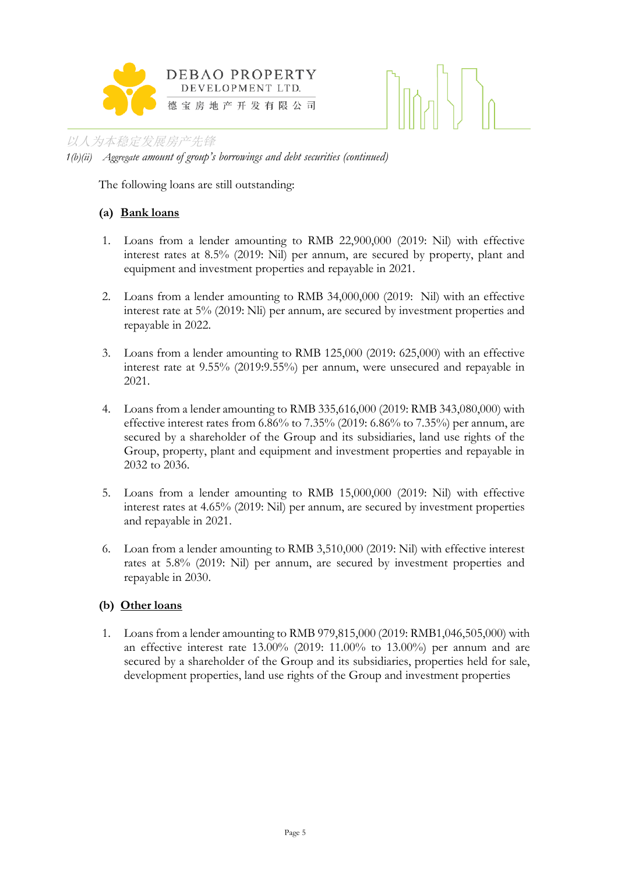



*1(b)(ii) Aggregate amount of group's borrowings and debt securities (continued)*

The following loans are still outstanding:

## **(a) Bank loans**

- 1. Loans from a lender amounting to RMB 22,900,000 (2019: Nil) with effective interest rates at 8.5% (2019: Nil) per annum, are secured by property, plant and equipment and investment properties and repayable in 2021.
- 2. Loans from a lender amounting to RMB 34,000,000 (2019: Nil) with an effective interest rate at 5% (2019: Nli) per annum, are secured by investment properties and repayable in 2022.
- 3. Loans from a lender amounting to RMB 125,000 (2019: 625,000) with an effective interest rate at 9.55% (2019:9.55%) per annum, were unsecured and repayable in 2021.
- 4. Loans from a lender amounting to RMB 335,616,000 (2019: RMB 343,080,000) with effective interest rates from  $6.86\%$  to  $7.35\%$  (2019:  $6.86\%$  to  $7.35\%$ ) per annum, are secured by a shareholder of the Group and its subsidiaries, land use rights of the Group, property, plant and equipment and investment properties and repayable in 2032 to 2036.
- 5. Loans from a lender amounting to RMB 15,000,000 (2019: Nil) with effective interest rates at 4.65% (2019: Nil) per annum, are secured by investment properties and repayable in 2021.
- 6. Loan from a lender amounting to RMB 3,510,000 (2019: Nil) with effective interest rates at 5.8% (2019: Nil) per annum, are secured by investment properties and repayable in 2030.

#### **(b) Other loans**

1. Loans from a lender amounting to RMB 979,815,000 (2019: RMB1,046,505,000) with an effective interest rate  $13.00\%$  (2019: 11.00% to 13.00%) per annum and are secured by a shareholder of the Group and its subsidiaries, properties held for sale, development properties, land use rights of the Group and investment properties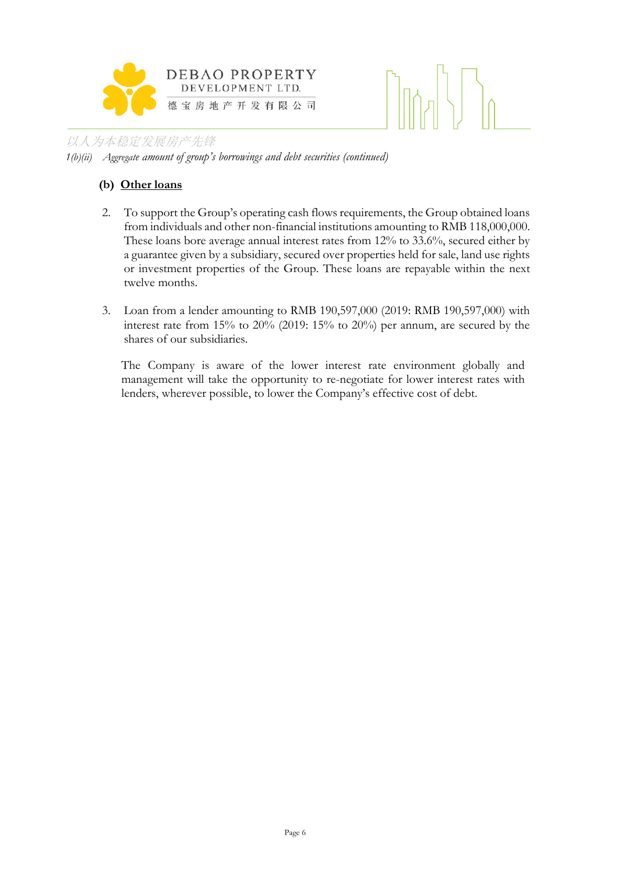

# $\lfloor \frac{1}{2} \rfloor$

#### 以人为本稳定发展房产先锋 *1(b)(ii) Aggregate amount of group's borrowings and debt securities (continued)*

# **(b) Other loans**

- 2. To support the Group's operating cash flows requirements, the Group obtained loans from individuals and other non-financial institutions amounting to RMB 118,000,000. These loans bore average annual interest rates from 12% to 33.6%, secured either by a guarantee given by a subsidiary, secured over properties held for sale, land use rights or investment properties of the Group. These loans are repayable within the next twelve months.
- 3. Loan from a lender amounting to RMB 190,597,000 (2019: RMB 190,597,000) with interest rate from 15% to 20% (2019: 15% to 20%) per annum, are secured by the shares of our subsidiaries.

The Company is aware of the lower interest rate environment globally and management will take the opportunity to re-negotiate for lower interest rates with lenders, wherever possible, to lower the Company's effective cost of debt.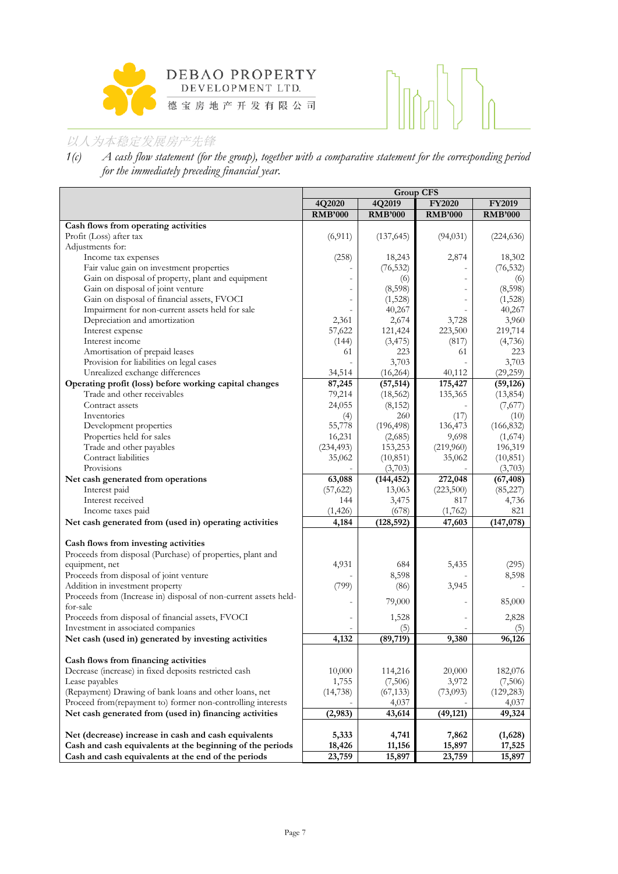



*1(c) A cash flow statement (for the group), together with a comparative statement for the corresponding period for the immediately preceding financial year.*

|                                                                  | Group CFS      |                |                |                |  |
|------------------------------------------------------------------|----------------|----------------|----------------|----------------|--|
|                                                                  | 4Q2020         | 4Q2019         | <b>FY2020</b>  | <b>FY2019</b>  |  |
|                                                                  | <b>RMB'000</b> | <b>RMB'000</b> | <b>RMB'000</b> | <b>RMB'000</b> |  |
| Cash flows from operating activities                             |                |                |                |                |  |
| Profit (Loss) after tax                                          | (6,911)        | (137, 645)     | (94, 031)      | (224, 636)     |  |
| Adjustments for:                                                 |                |                |                |                |  |
| Income tax expenses                                              | (258)          | 18,243         | 2,874          | 18,302         |  |
| Fair value gain on investment properties                         |                | (76, 532)      |                | (76, 532)      |  |
| Gain on disposal of property, plant and equipment                |                | (6)            |                | (6)            |  |
| Gain on disposal of joint venture                                |                | (8,598)        |                | (8,598)        |  |
| Gain on disposal of financial assets, FVOCI                      | $\overline{a}$ | (1,528)        |                | (1,528)        |  |
| Impairment for non-current assets held for sale                  |                | 40,267         |                | 40,267         |  |
| Depreciation and amortization                                    | 2,361          | 2,674          | 3,728          | 3,960          |  |
| Interest expense                                                 | 57,622         | 121,424        | 223,500        | 219,714        |  |
| Interest income                                                  | (144)          | (3, 475)       | (817)          | (4,736)        |  |
| Amortisation of prepaid leases                                   | 61             | 223            | 61             | 223            |  |
| Provision for liabilities on legal cases                         |                | 3,703          |                | 3,703          |  |
| Unrealized exchange differences                                  | 34,514         | (16, 264)      | 40,112         | (29, 259)      |  |
| Operating profit (loss) before working capital changes           | 87,245         | (57, 514)      | 175,427        | (59, 126)      |  |
| Trade and other receivables                                      | 79,214         | (18, 562)      | 135,365        | (13, 854)      |  |
| Contract assets                                                  | 24,055         | (8, 152)       |                | (7,677)        |  |
| Inventories                                                      | (4)            | 260            | (17)           | (10)           |  |
| Development properties                                           | 55,778         | (196, 498)     | 136,473        | (166, 832)     |  |
| Properties held for sales                                        | 16,231         | (2,685)        | 9,698          | (1,674)        |  |
| Trade and other payables                                         | (234, 493)     | 153,253        | (219,960)      | 196,319        |  |
| Contract liabilities                                             | 35,062         | (10, 851)      | 35,062         | (10, 851)      |  |
| Provisions                                                       |                | (3,703)        |                | (3,703)        |  |
| Net cash generated from operations                               | 63,088         | (144, 452)     | 272,048        | (67, 408)      |  |
| Interest paid                                                    | (57, 622)      | 13,063         | (223,500)      | (85, 227)      |  |
| Interest received                                                | 144            | 3,475          | 817            | 4,736          |  |
| Income taxes paid                                                | (1,426)        | (678)          | (1,762)        | 821            |  |
| Net cash generated from (used in) operating activities           | 4,184          | (128, 592)     | 47,603         | (147,078)      |  |
|                                                                  |                |                |                |                |  |
| Cash flows from investing activities                             |                |                |                |                |  |
| Proceeds from disposal (Purchase) of properties, plant and       |                |                |                |                |  |
| equipment, net                                                   | 4,931          | 684            | 5,435          | (295)          |  |
| Proceeds from disposal of joint venture                          |                | 8,598          |                | 8,598          |  |
| Addition in investment property                                  | (799)          | (86)           | 3,945          |                |  |
| Proceeds from (Increase in) disposal of non-current assets held- | $\overline{a}$ | 79,000         |                | 85,000         |  |
| for-sale                                                         |                |                |                |                |  |
| Proceeds from disposal of financial assets, FVOCI                | $\overline{a}$ | 1,528          |                | 2,828          |  |
| Investment in associated companies                               |                | (5)            |                | (5)            |  |
| Net cash (used in) generated by investing activities             | 4,132          | (89,719)       | 9,380          | 96,126         |  |
| Cash flows from financing activities                             |                |                |                |                |  |
| Decrease (increase) in fixed deposits restricted cash            | 10,000         | 114,216        | 20,000         | 182,076        |  |
| Lease payables                                                   | 1,755          | (7,506)        | 3,972          | (7,506)        |  |
| (Repayment) Drawing of bank loans and other loans, net           | (14, 738)      | (67, 133)      | (73,093)       | (129, 283)     |  |
| Proceed from(repayment to) former non-controlling interests      |                | 4,037          |                | 4,037          |  |
| Net cash generated from (used in) financing activities           | (2,983)        | 43,614         | (49, 121)      | 49,324         |  |
|                                                                  |                |                |                |                |  |
| Net (decrease) increase in cash and cash equivalents             | 5,333          | 4,741          | 7,862          | (1,628)        |  |
| Cash and cash equivalents at the beginning of the periods        | 18,426         | 11,156         | 15,897         | 17,525         |  |
| Cash and cash equivalents at the end of the periods              | 23,759         | 15,897         | 23,759         | 15,897         |  |
|                                                                  |                |                |                |                |  |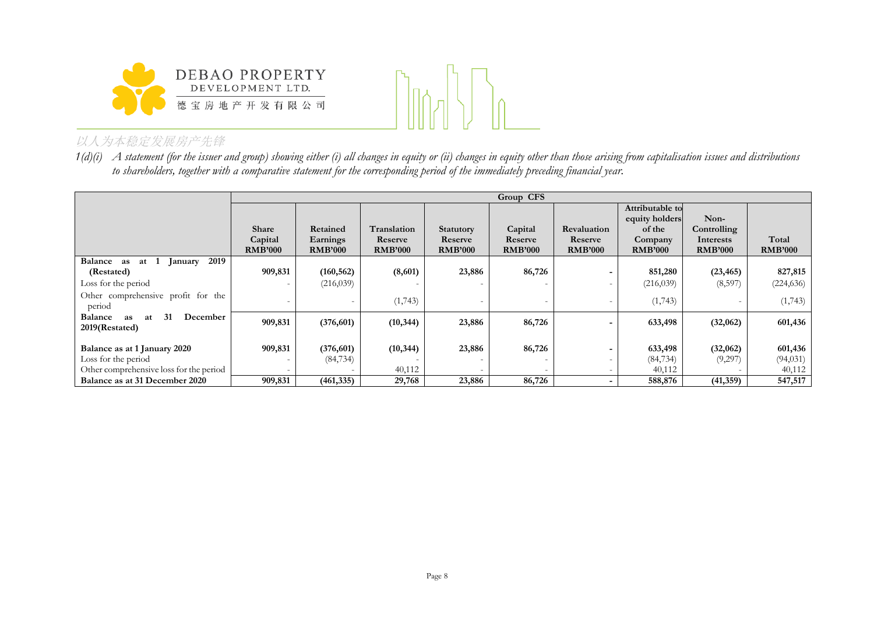



*1(d)(i) A statement (for the issuer and group) showing either (i) all changes in equity or (ii) changes in equity other than those arising from capitalisation issues and distributions to shareholders, together with a comparative statement for the corresponding period of the immediately preceding financial year.*

|                                                                                                |                                    | Group CFS                              |                                          |                                        |                                      |                                                 |                                                                          |                                                    |                                |
|------------------------------------------------------------------------------------------------|------------------------------------|----------------------------------------|------------------------------------------|----------------------------------------|--------------------------------------|-------------------------------------------------|--------------------------------------------------------------------------|----------------------------------------------------|--------------------------------|
|                                                                                                | Share<br>Capital<br><b>RMB'000</b> | Retained<br>Earnings<br><b>RMB'000</b> | Translation<br>Reserve<br><b>RMB'000</b> | Statutory<br>Reserve<br><b>RMB'000</b> | Capital<br>Reserve<br><b>RMB'000</b> | <b>Revaluation</b><br>Reserve<br><b>RMB'000</b> | Attributable to<br>equity holders<br>of the<br>Company<br><b>RMB'000</b> | Non-<br>Controlling<br>Interests<br><b>RMB'000</b> | Total<br><b>RMB'000</b>        |
| Balance as<br>2019<br>at 1<br>January                                                          |                                    |                                        |                                          |                                        |                                      |                                                 |                                                                          |                                                    |                                |
| (Restated)                                                                                     | 909,831                            | (160, 562)                             | (8,601)                                  | 23,886                                 | 86,726                               | $\overline{\phantom{0}}$                        | 851,280                                                                  | (23, 465)                                          | 827,815                        |
| Loss for the period                                                                            |                                    | (216,039)                              |                                          |                                        |                                      | $\overline{\phantom{a}}$                        | (216,039)                                                                | (8,597)                                            | (224, 636)                     |
| Other comprehensive profit for the<br>period                                                   |                                    |                                        | (1,743)                                  |                                        |                                      | $\overline{\phantom{0}}$                        | (1,743)                                                                  |                                                    | (1,743)                        |
| 31<br>December<br><b>Balance</b><br>as<br>at<br>2019(Restated)                                 | 909,831                            | (376,601)                              | (10, 344)                                | 23,886                                 | 86,726                               | $\overline{\phantom{0}}$                        | 633,498                                                                  | (32,062)                                           | 601,436                        |
| Balance as at 1 January 2020<br>Loss for the period<br>Other comprehensive loss for the period | 909,831                            | (376, 601)<br>(84, 734)                | (10, 344)<br>40,112                      | 23,886                                 | 86,726                               | $\overline{\phantom{0}}$<br>Ξ.                  | 633,498<br>(84, 734)<br>40,112                                           | (32,062)<br>(9,297)                                | 601,436<br>(94, 031)<br>40,112 |
| Balance as at 31 December 2020                                                                 | 909,831                            | (461, 335)                             | 29,768                                   | 23,886                                 | 86,726                               | $\sim$                                          | 588,876                                                                  | (41, 359)                                          | 547,517                        |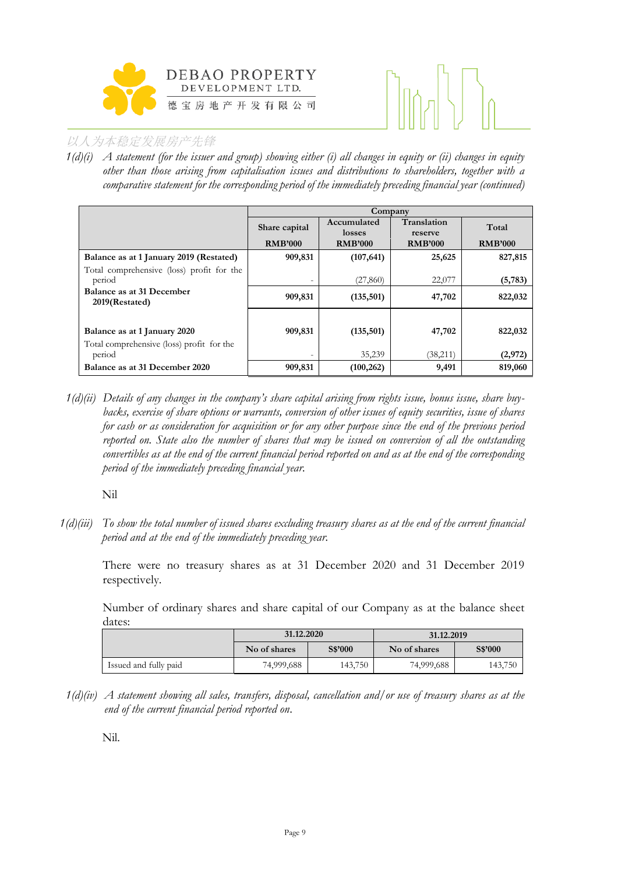



*1(d)(i) A statement (for the issuer and group) showing either (i) all changes in equity or (ii) changes in equity other than those arising from capitalisation issues and distributions to shareholders, together with a comparative statement for the corresponding period of the immediately preceding financial year (continued)*

|                                                     | Company                  |                       |                        |                |  |  |
|-----------------------------------------------------|--------------------------|-----------------------|------------------------|----------------|--|--|
|                                                     | Share capital            | Accumulated<br>losses | Translation<br>reserve | Total          |  |  |
|                                                     | <b>RMB'000</b>           | <b>RMB'000</b>        | <b>RMB'000</b>         | <b>RMB'000</b> |  |  |
| Balance as at 1 January 2019 (Restated)             | 909,831                  | (107, 641)            | 25,625                 | 827,815        |  |  |
| Total comprehensive (loss) profit for the<br>period | $\overline{\phantom{0}}$ | (27, 860)             | 22,077                 | (5, 783)       |  |  |
| Balance as at 31 December<br>2019(Restated)         | 909,831                  | (135,501)             | 47,702                 | 822,032        |  |  |
|                                                     |                          |                       |                        |                |  |  |
| Balance as at 1 January 2020                        | 909,831                  | (135,501)             | 47,702                 | 822,032        |  |  |
| Total comprehensive (loss) profit for the           |                          |                       |                        |                |  |  |
| period                                              | $\overline{\phantom{0}}$ | 35,239                | (38,211)               | (2,972)        |  |  |
| Balance as at 31 December 2020                      | 909,831                  | (100, 262)            | 9,491                  | 819,060        |  |  |

*1(d)(ii) Details of any changes in the company's share capital arising from rights issue, bonus issue, share buybacks, exercise of share options or warrants, conversion of other issues of equity securities, issue of shares for cash or as consideration for acquisition or for any other purpose since the end of the previous period reported on. State also the number of shares that may be issued on conversion of all the outstanding convertibles as at the end of the current financial period reported on and as at the end of the corresponding period of the immediately preceding financial year.*

Nil

*1(d)(iii) To show the total number of issued shares excluding treasury shares as at the end of the current financial period and at the end of the immediately preceding year.* 

There were no treasury shares as at 31 December 2020 and 31 December 2019 respectively.

Number of ordinary shares and share capital of our Company as at the balance sheet dates:

|                       | 31.12.2020   |         | 31.12.2019   |         |  |
|-----------------------|--------------|---------|--------------|---------|--|
|                       | No of shares | S\$'000 | No of shares | S\$'000 |  |
| Issued and fully paid | 74,999,688   | 143,750 | 74,999,688   | 143,750 |  |

*1(d)(iv) A statement showing all sales, transfers, disposal, cancellation and/or use of treasury shares as at the end of the current financial period reported on*.

Nil.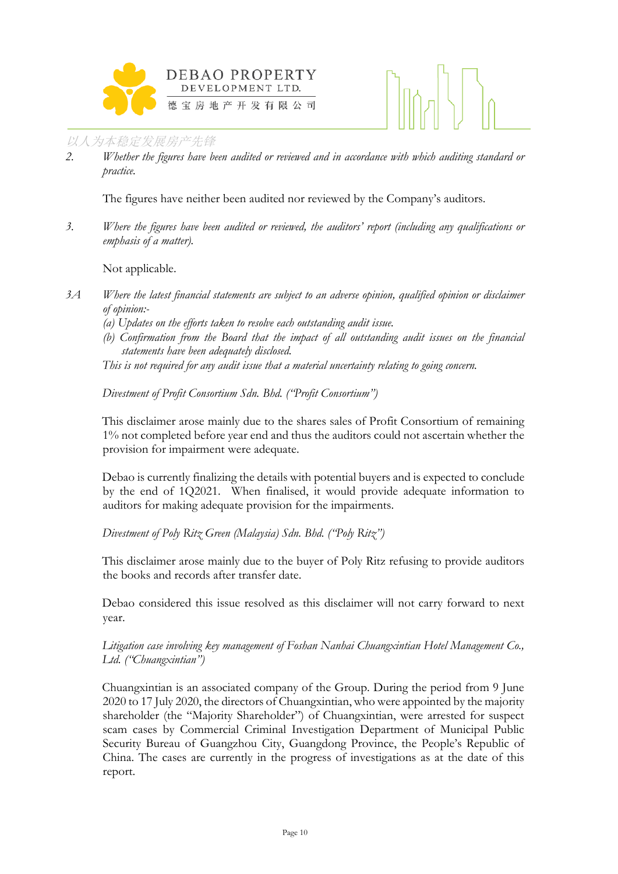



*2. Whether the figures have been audited or reviewed and in accordance with which auditing standard or practice.*

The figures have neither been audited nor reviewed by the Company's auditors.

*3. Where the figures have been audited or reviewed, the auditors' report (including any qualifications or emphasis of a matter).*

Not applicable.

- *3A Where the latest financial statements are subject to an adverse opinion, qualified opinion or disclaimer of opinion:-*
	- *(a) Updates on the efforts taken to resolve each outstanding audit issue.*
	- *(b) Confirmation from the Board that the impact of all outstanding audit issues on the financial statements have been adequately disclosed.*
	- *This is not required for any audit issue that a material uncertainty relating to going concern.*

## *Divestment of Profit Consortium Sdn. Bhd. ("Profit Consortium")*

This disclaimer arose mainly due to the shares sales of Profit Consortium of remaining 1% not completed before year end and thus the auditors could not ascertain whether the provision for impairment were adequate.

Debao is currently finalizing the details with potential buyers and is expected to conclude by the end of 1Q2021. When finalised, it would provide adequate information to auditors for making adequate provision for the impairments.

*Divestment of Poly Ritz Green (Malaysia) Sdn. Bhd. ("Poly Ritz")*

This disclaimer arose mainly due to the buyer of Poly Ritz refusing to provide auditors the books and records after transfer date.

Debao considered this issue resolved as this disclaimer will not carry forward to next year.

*Litigation case involving key management of Foshan Nanhai Chuangxintian Hotel Management Co., Ltd. ("Chuangxintian")*

Chuangxintian is an associated company of the Group. During the period from 9 June 2020 to 17 July 2020, the directors of Chuangxintian, who were appointed by the majority shareholder (the "Majority Shareholder") of Chuangxintian, were arrested for suspect scam cases by Commercial Criminal Investigation Department of Municipal Public Security Bureau of Guangzhou City, Guangdong Province, the People's Republic of China. The cases are currently in the progress of investigations as at the date of this report.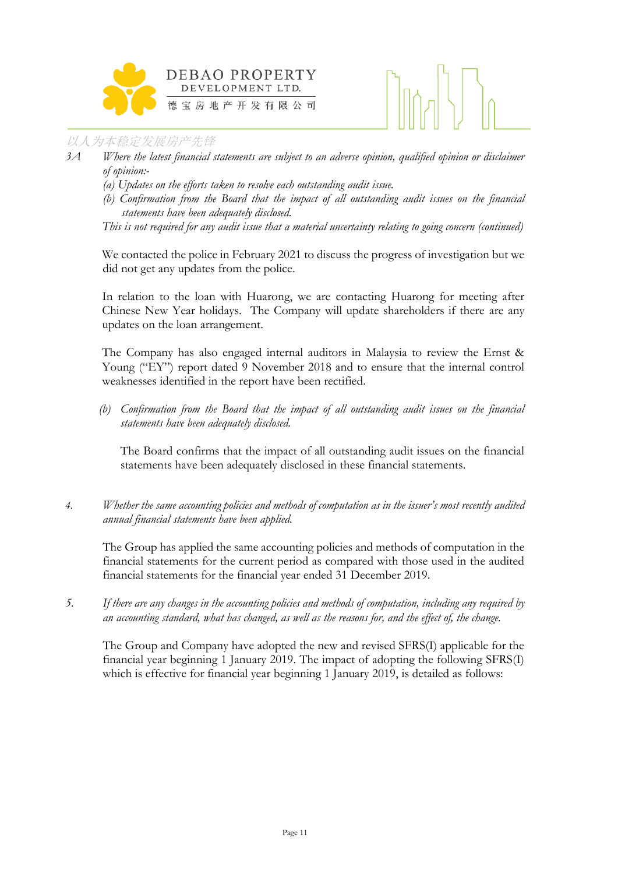

- *3A Where the latest financial statements are subject to an adverse opinion, qualified opinion or disclaimer of opinion:-*
	- *(a) Updates on the efforts taken to resolve each outstanding audit issue.*
	- *(b) Confirmation from the Board that the impact of all outstanding audit issues on the financial statements have been adequately disclosed.*

*This is not required for any audit issue that a material uncertainty relating to going concern (continued)*

We contacted the police in February 2021 to discuss the progress of investigation but we did not get any updates from the police.

In relation to the loan with Huarong, we are contacting Huarong for meeting after Chinese New Year holidays. The Company will update shareholders if there are any updates on the loan arrangement.

The Company has also engaged internal auditors in Malaysia to review the Ernst & Young ("EY") report dated 9 November 2018 and to ensure that the internal control weaknesses identified in the report have been rectified.

*(b) Confirmation from the Board that the impact of all outstanding audit issues on the financial statements have been adequately disclosed.* 

The Board confirms that the impact of all outstanding audit issues on the financial statements have been adequately disclosed in these financial statements.

*4. Whether the same accounting policies and methods of computation as in the issuer's most recently audited annual financial statements have been applied.*

The Group has applied the same accounting policies and methods of computation in the financial statements for the current period as compared with those used in the audited financial statements for the financial year ended 31 December 2019.

*5. If there are any changes in the accounting policies and methods of computation, including any required by an accounting standard, what has changed, as well as the reasons for, and the effect of, the change.*

The Group and Company have adopted the new and revised SFRS(I) applicable for the financial year beginning 1 January 2019. The impact of adopting the following SFRS(I) which is effective for financial year beginning 1 January 2019, is detailed as follows: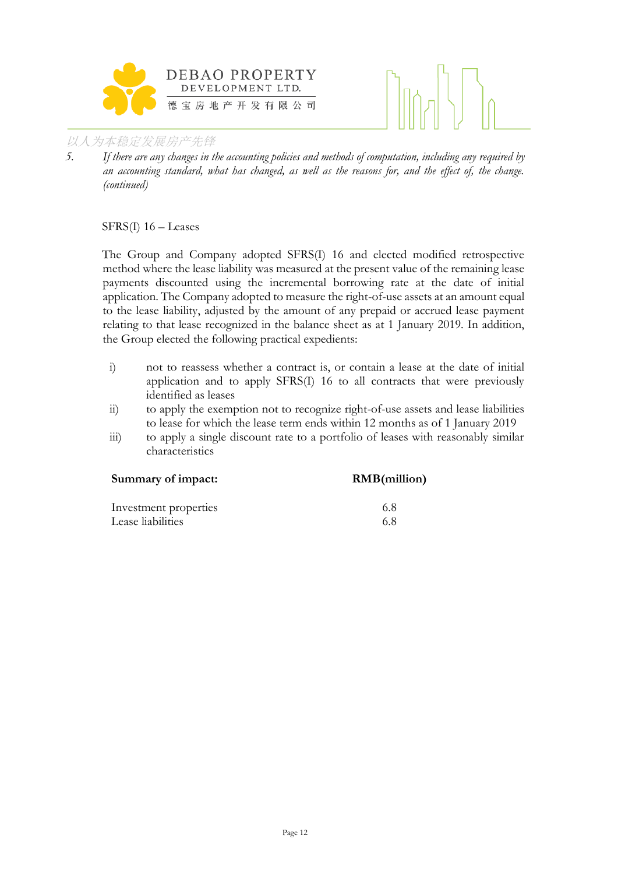



*5. If there are any changes in the accounting policies and methods of computation, including any required by an accounting standard, what has changed, as well as the reasons for, and the effect of, the change. (continued)*

SFRS(I) 16 – Leases

The Group and Company adopted SFRS(I) 16 and elected modified retrospective method where the lease liability was measured at the present value of the remaining lease payments discounted using the incremental borrowing rate at the date of initial application. The Company adopted to measure the right-of-use assets at an amount equal to the lease liability, adjusted by the amount of any prepaid or accrued lease payment relating to that lease recognized in the balance sheet as at 1 January 2019. In addition, the Group elected the following practical expedients:

- i) not to reassess whether a contract is, or contain a lease at the date of initial application and to apply SFRS(I) 16 to all contracts that were previously identified as leases
- ii) to apply the exemption not to recognize right-of-use assets and lease liabilities to lease for which the lease term ends within 12 months as of 1 January 2019
- iii) to apply a single discount rate to a portfolio of leases with reasonably similar characteristics

| Summary of impact:    | <b>RMB</b> (million) |
|-----------------------|----------------------|
| Investment properties | 68                   |
| Lease liabilities     | 68                   |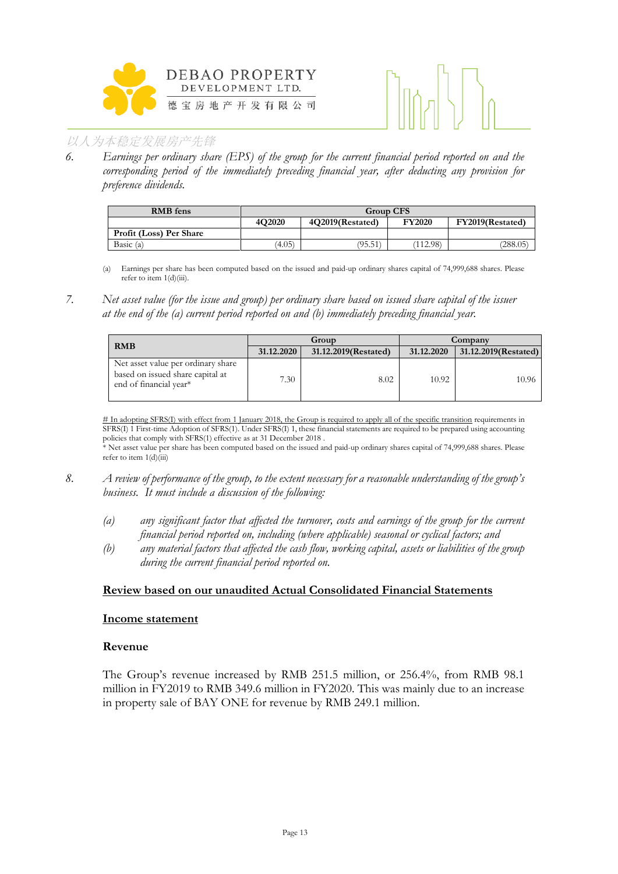



*6. Earnings per ordinary share (EPS) of the group for the current financial period reported on and the corresponding period of the immediately preceding financial year, after deducting any provision for preference dividends.*

| <b>RMB</b> fens         |        | <b>Group CFS</b>                                      |          |          |  |  |  |
|-------------------------|--------|-------------------------------------------------------|----------|----------|--|--|--|
|                         | 4O2020 | <b>FY2020</b><br>FY2019(Restated)<br>4O2019(Restated) |          |          |  |  |  |
| Profit (Loss) Per Share |        |                                                       |          |          |  |  |  |
| Basic (a)               | (4.05) | (95.51)                                               | (112.98) | (288.05) |  |  |  |

- (a) Earnings per share has been computed based on the issued and paid-up ordinary shares capital of 74,999,688 shares. Please refer to item 1(d)(iii).
- *7. Net asset value (for the issue and group) per ordinary share based on issued share capital of the issuer at the end of the (a) current period reported on and (b) immediately preceding financial year.*

| <b>RMB</b>                                                                                       |            | Group                | Company    |                      |  |
|--------------------------------------------------------------------------------------------------|------------|----------------------|------------|----------------------|--|
|                                                                                                  | 31.12.2020 | 31.12.2019(Restated) | 31.12.2020 | 31.12.2019(Restated) |  |
| Net asset value per ordinary share<br>based on issued share capital at<br>end of financial year* | 7.30       | 8.02                 | 10.92      | 10.96                |  |

# In adopting SFRS(I) with effect from 1 January 2018, the Group is required to apply all of the specific transition requirements in SFRS(I) 1 First-time Adoption of SFRS(1). Under SFRS(I) 1, these financial statements are required to be prepared using accounting policies that comply with SFRS(1) effective as at 31 December 2018 .

\* Net asset value per share has been computed based on the issued and paid-up ordinary shares capital of 74,999,688 shares. Please refer to item 1(d)(iii)

- *8. A review of performance of the group, to the extent necessary for a reasonable understanding of the group's business. It must include a discussion of the following:*
	- *(a) any significant factor that affected the turnover, costs and earnings of the group for the current financial period reported on, including (where applicable) seasonal or cyclical factors; and*
	- *(b) any material factors that affected the cash flow, working capital, assets or liabilities of the group during the current financial period reported on.*

#### **Review based on our unaudited Actual Consolidated Financial Statements**

#### **Income statement**

#### **Revenue**

The Group's revenue increased by RMB 251.5 million, or 256.4%, from RMB 98.1 million in FY2019 to RMB 349.6 million in FY2020. This was mainly due to an increase in property sale of BAY ONE for revenue by RMB 249.1 million.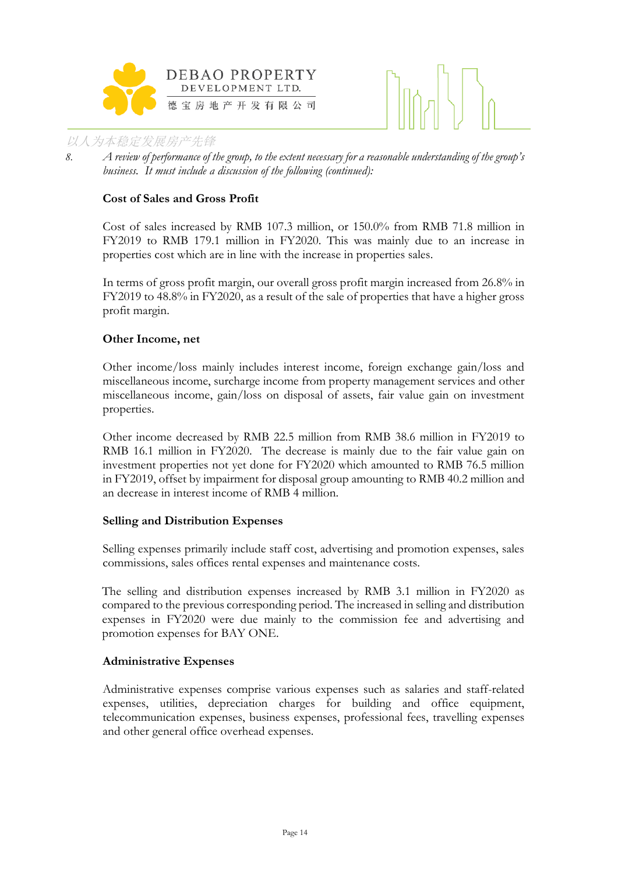



*8. A review of performance of the group, to the extent necessary for a reasonable understanding of the group's business. It must include a discussion of the following (continued):*

#### **Cost of Sales and Gross Profit**

Cost of sales increased by RMB 107.3 million, or 150.0% from RMB 71.8 million in FY2019 to RMB 179.1 million in FY2020. This was mainly due to an increase in properties cost which are in line with the increase in properties sales.

In terms of gross profit margin, our overall gross profit margin increased from 26.8% in FY2019 to 48.8% in FY2020, as a result of the sale of properties that have a higher gross profit margin.

#### **Other Income, net**

Other income/loss mainly includes interest income, foreign exchange gain/loss and miscellaneous income, surcharge income from property management services and other miscellaneous income, gain/loss on disposal of assets, fair value gain on investment properties.

Other income decreased by RMB 22.5 million from RMB 38.6 million in FY2019 to RMB 16.1 million in FY2020. The decrease is mainly due to the fair value gain on investment properties not yet done for FY2020 which amounted to RMB 76.5 million in FY2019, offset by impairment for disposal group amounting to RMB 40.2 million and an decrease in interest income of RMB 4 million.

#### **Selling and Distribution Expenses**

Selling expenses primarily include staff cost, advertising and promotion expenses, sales commissions, sales offices rental expenses and maintenance costs.

The selling and distribution expenses increased by RMB 3.1 million in FY2020 as compared to the previous corresponding period. The increased in selling and distribution expenses in FY2020 were due mainly to the commission fee and advertising and promotion expenses for BAY ONE.

#### **Administrative Expenses**

Administrative expenses comprise various expenses such as salaries and staff-related expenses, utilities, depreciation charges for building and office equipment, telecommunication expenses, business expenses, professional fees, travelling expenses and other general office overhead expenses.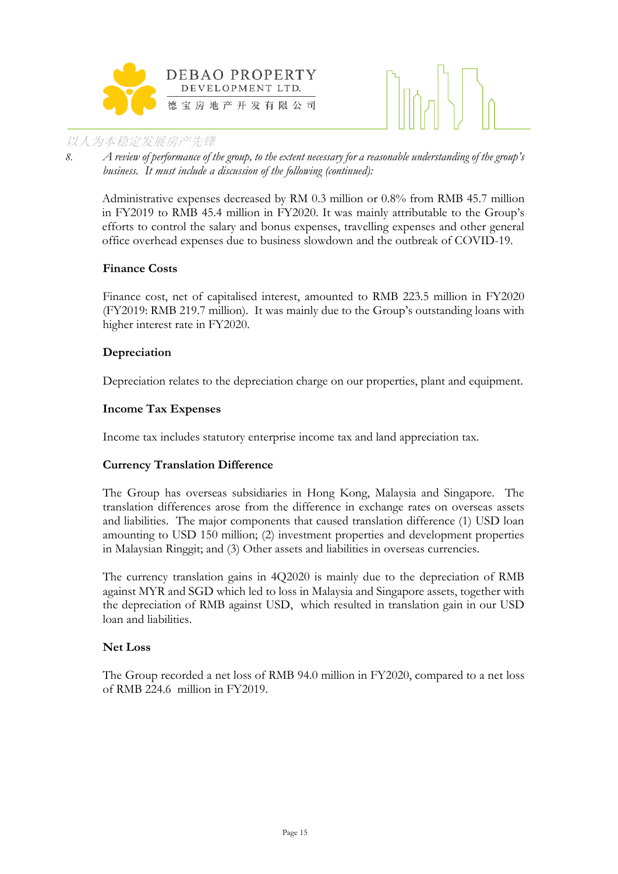



*8. A review of performance of the group, to the extent necessary for a reasonable understanding of the group's business. It must include a discussion of the following (continued):*

Administrative expenses decreased by RM 0.3 million or 0.8% from RMB 45.7 million in FY2019 to RMB 45.4 million in FY2020. It was mainly attributable to the Group's efforts to control the salary and bonus expenses, travelling expenses and other general office overhead expenses due to business slowdown and the outbreak of COVID-19.

#### **Finance Costs**

Finance cost, net of capitalised interest, amounted to RMB 223.5 million in FY2020 (FY2019: RMB 219.7 million). It was mainly due to the Group's outstanding loans with higher interest rate in FY2020.

#### **Depreciation**

Depreciation relates to the depreciation charge on our properties, plant and equipment.

#### **Income Tax Expenses**

Income tax includes statutory enterprise income tax and land appreciation tax.

#### **Currency Translation Difference**

The Group has overseas subsidiaries in Hong Kong, Malaysia and Singapore. The translation differences arose from the difference in exchange rates on overseas assets and liabilities. The major components that caused translation difference (1) USD loan amounting to USD 150 million; (2) investment properties and development properties in Malaysian Ringgit; and (3) Other assets and liabilities in overseas currencies.

The currency translation gains in 4Q2020 is mainly due to the depreciation of RMB against MYR and SGD which led to loss in Malaysia and Singapore assets, together with the depreciation of RMB against USD, which resulted in translation gain in our USD loan and liabilities.

#### **Net Loss**

The Group recorded a net loss of RMB 94.0 million in FY2020, compared to a net loss of RMB 224.6 million in FY2019.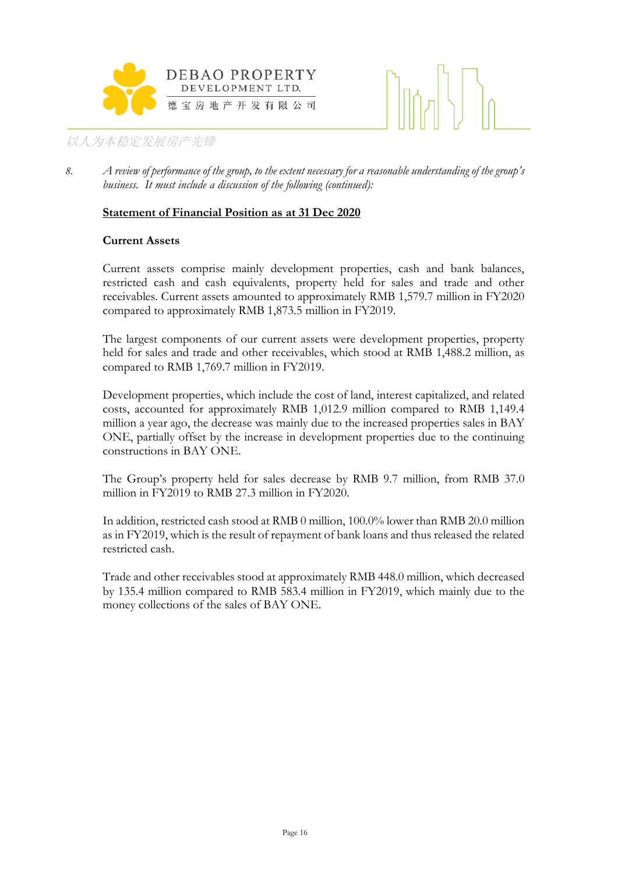



*8. A review of performance of the group, to the extent necessary for a reasonable understanding of the group's business. It must include a discussion of the following (continued):*

#### **Statement of Financial Position as at 31 Dec 2020**

#### **Current Assets**

Current assets comprise mainly development properties, cash and bank balances, restricted cash and cash equivalents, property held for sales and trade and other receivables. Current assets amounted to approximately RMB 1,579.7 million in FY2020 compared to approximately RMB 1,873.5 million in FY2019.

The largest components of our current assets were development properties, property held for sales and trade and other receivables, which stood at RMB 1,488.2 million, as compared to RMB 1,769.7 million in FY2019.

Development properties, which include the cost of land, interest capitalized, and related costs, accounted for approximately RMB 1,012.9 million compared to RMB 1,149.4 million a year ago, the decrease was mainly due to the increased properties sales in BAY ONE, partially offset by the increase in development properties due to the continuing constructions in BAY ONE.

The Group's property held for sales decrease by RMB 9.7 million, from RMB 37.0 million in FY2019 to RMB 27.3 million in FY2020.

In addition, restricted cash stood at RMB 0 million, 100.0% lower than RMB 20.0 million as in FY2019, which is the result of repayment of bank loans and thus released the related restricted cash.

Trade and other receivables stood at approximately RMB 448.0 million, which decreased by 135.4 million compared to RMB 583.4 million in FY2019, which mainly due to the money collections of the sales of BAY ONE.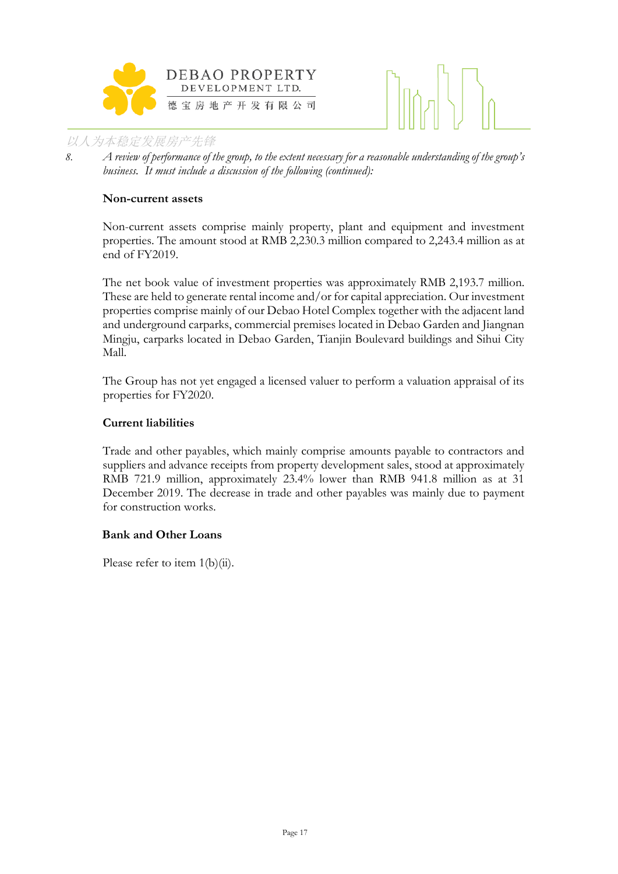



*8. A review of performance of the group, to the extent necessary for a reasonable understanding of the group's business. It must include a discussion of the following (continued):*

#### **Non-current assets**

Non-current assets comprise mainly property, plant and equipment and investment properties. The amount stood at RMB 2,230.3 million compared to 2,243.4 million as at end of FY2019.

The net book value of investment properties was approximately RMB 2,193.7 million. These are held to generate rental income and/or for capital appreciation. Our investment properties comprise mainly of our Debao Hotel Complex together with the adjacent land and underground carparks, commercial premises located in Debao Garden and Jiangnan Mingju, carparks located in Debao Garden, Tianjin Boulevard buildings and Sihui City Mall.

The Group has not yet engaged a licensed valuer to perform a valuation appraisal of its properties for FY2020.

#### **Current liabilities**

Trade and other payables, which mainly comprise amounts payable to contractors and suppliers and advance receipts from property development sales, stood at approximately RMB 721.9 million, approximately 23.4% lower than RMB 941.8 million as at 31 December 2019. The decrease in trade and other payables was mainly due to payment for construction works.

#### **Bank and Other Loans**

Please refer to item 1(b)(ii).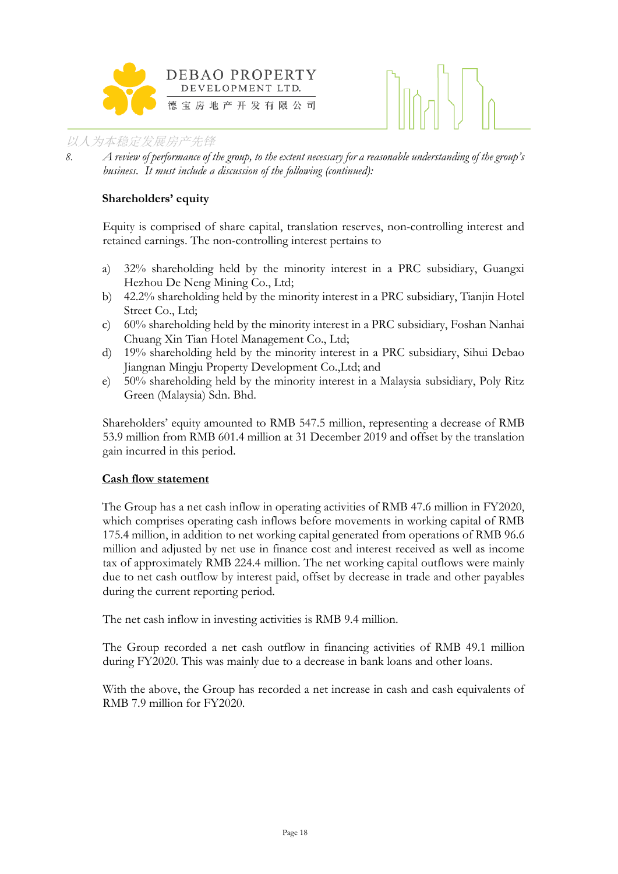

*8. A review of performance of the group, to the extent necessary for a reasonable understanding of the group's business. It must include a discussion of the following (continued):*

#### **Shareholders' equity**

Equity is comprised of share capital, translation reserves, non-controlling interest and retained earnings. The non-controlling interest pertains to

- a) 32% shareholding held by the minority interest in a PRC subsidiary, Guangxi Hezhou De Neng Mining Co., Ltd;
- b) 42.2% shareholding held by the minority interest in a PRC subsidiary, Tianjin Hotel Street Co., Ltd;
- c) 60% shareholding held by the minority interest in a PRC subsidiary, Foshan Nanhai Chuang Xin Tian Hotel Management Co., Ltd;
- d) 19% shareholding held by the minority interest in a PRC subsidiary, Sihui Debao Jiangnan Mingju Property Development Co.,Ltd; and
- e) 50% shareholding held by the minority interest in a Malaysia subsidiary, Poly Ritz Green (Malaysia) Sdn. Bhd.

Shareholders' equity amounted to RMB 547.5 million, representing a decrease of RMB 53.9 million from RMB 601.4 million at 31 December 2019 and offset by the translation gain incurred in this period.

#### **Cash flow statement**

The Group has a net cash inflow in operating activities of RMB 47.6 million in FY2020, which comprises operating cash inflows before movements in working capital of RMB 175.4 million, in addition to net working capital generated from operations of RMB 96.6 million and adjusted by net use in finance cost and interest received as well as income tax of approximately RMB 224.4 million. The net working capital outflows were mainly due to net cash outflow by interest paid, offset by decrease in trade and other payables during the current reporting period.

The net cash inflow in investing activities is RMB 9.4 million.

The Group recorded a net cash outflow in financing activities of RMB 49.1 million during FY2020. This was mainly due to a decrease in bank loans and other loans.

With the above, the Group has recorded a net increase in cash and cash equivalents of RMB 7.9 million for FY2020.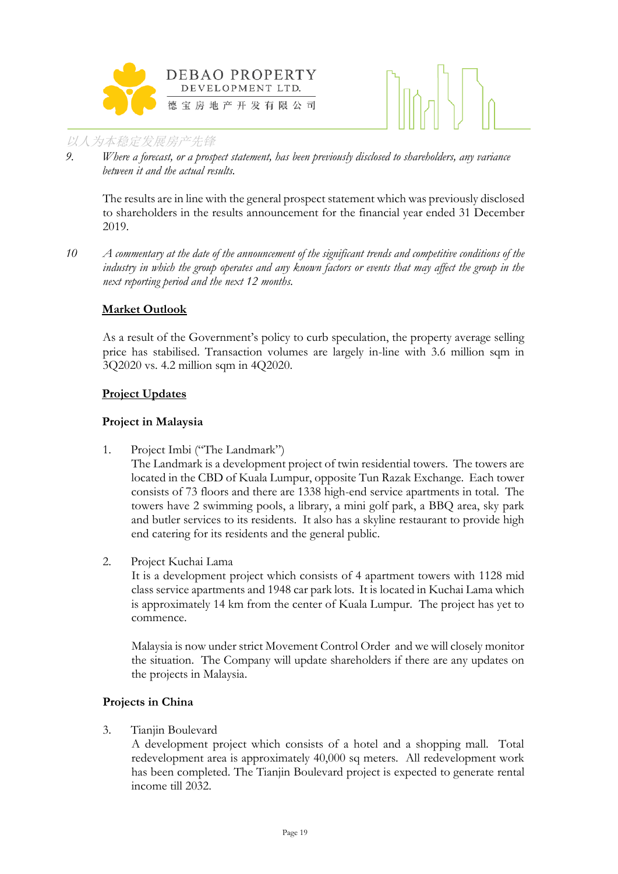



*9. Where a forecast, or a prospect statement, has been previously disclosed to shareholders, any variance between it and the actual results.*

The results are in line with the general prospect statement which was previously disclosed to shareholders in the results announcement for the financial year ended 31 December 2019.

*10 A commentary at the date of the announcement of the significant trends and competitive conditions of the industry in which the group operates and any known factors or events that may affect the group in the next reporting period and the next 12 months.*

#### **Market Outlook**

As a result of the Government's policy to curb speculation, the property average selling price has stabilised. Transaction volumes are largely in-line with 3.6 million sqm in 3Q2020 vs. 4.2 million sqm in 4Q2020.

#### **Project Updates**

## **Project in Malaysia**

1. Project Imbi ("The Landmark")

The Landmark is a development project of twin residential towers. The towers are located in the CBD of Kuala Lumpur, opposite Tun Razak Exchange. Each tower consists of 73 floors and there are 1338 high-end service apartments in total. The towers have 2 swimming pools, a library, a mini golf park, a BBQ area, sky park and butler services to its residents. It also has a skyline restaurant to provide high end catering for its residents and the general public.

2. Project Kuchai Lama

It is a development project which consists of 4 apartment towers with 1128 mid class service apartments and 1948 car park lots. It is located in Kuchai Lama which is approximately 14 km from the center of Kuala Lumpur. The project has yet to commence.

Malaysia is now under strict Movement Control Order and we will closely monitor the situation. The Company will update shareholders if there are any updates on the projects in Malaysia.

#### **Projects in China**

3. Tianjin Boulevard

A development project which consists of a hotel and a shopping mall. Total redevelopment area is approximately 40,000 sq meters. All redevelopment work has been completed. The Tianjin Boulevard project is expected to generate rental income till 2032.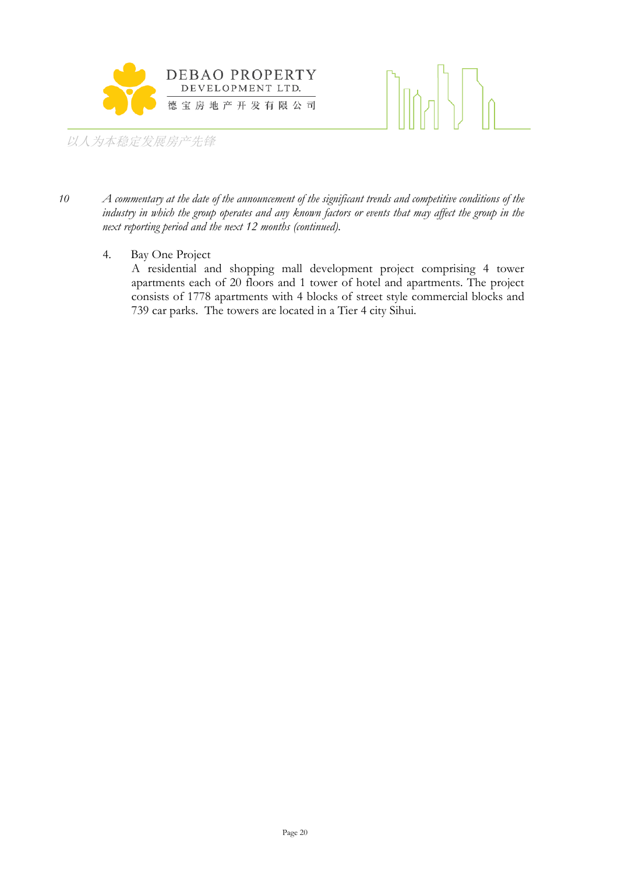

- *10 A commentary at the date of the announcement of the significant trends and competitive conditions of the industry in which the group operates and any known factors or events that may affect the group in the next reporting period and the next 12 months (continued).*
	- 4. Bay One Project

A residential and shopping mall development project comprising 4 tower apartments each of 20 floors and 1 tower of hotel and apartments. The project consists of 1778 apartments with 4 blocks of street style commercial blocks and 739 car parks. The towers are located in a Tier 4 city Sihui.

 $\lfloor \frac{1}{2} \rfloor$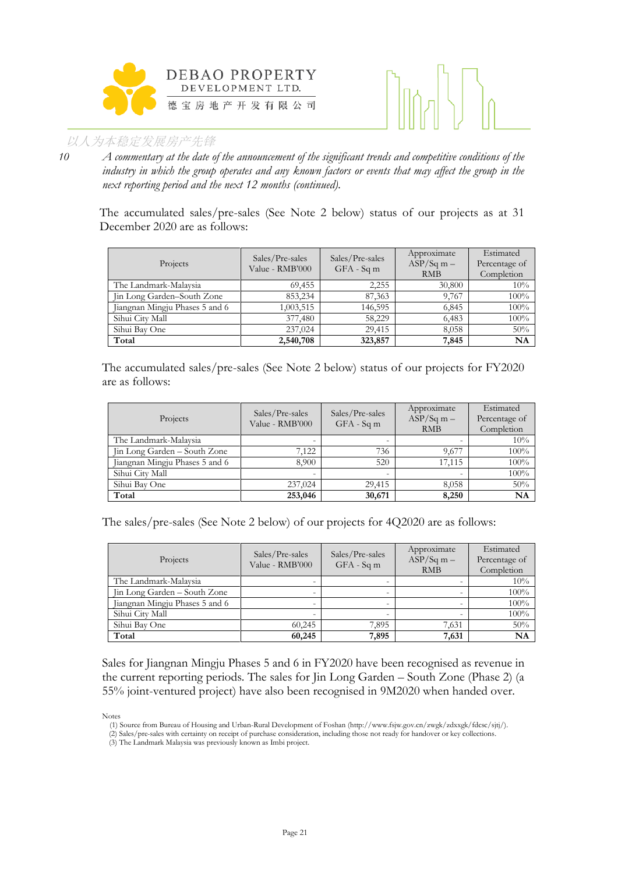



*10 A commentary at the date of the announcement of the significant trends and competitive conditions of the industry in which the group operates and any known factors or events that may affect the group in the next reporting period and the next 12 months (continued).*

The accumulated sales/pre-sales (See Note 2 below) status of our projects as at 31 December 2020 are as follows:

| Projects                       | Sales/Pre-sales<br>Value - RMB'000 | Sales/Pre-sales<br>$GFA - Sqm$ | Approximate<br>$ASP/Sq m -$<br><b>RMB</b> | Estimated<br>Percentage of<br>Completion |
|--------------------------------|------------------------------------|--------------------------------|-------------------------------------------|------------------------------------------|
| The Landmark-Malaysia          | 69,455                             | 2,255                          | 30,800                                    | 10%                                      |
| Jin Long Garden-South Zone     | 853,234                            | 87,363                         | 9,767                                     | 100%                                     |
| Jiangnan Mingju Phases 5 and 6 | 1,003,515                          | 146,595                        | 6,845                                     | 100%                                     |
| Sihui City Mall                | 377,480                            | 58,229                         | 6,483                                     | 100%                                     |
| Sihui Bay One                  | 237,024                            | 29.415                         | 8,058                                     | 50%                                      |
| Total                          | 2,540,708                          | 323,857                        | 7,845                                     | <b>NA</b>                                |

The accumulated sales/pre-sales (See Note 2 below) status of our projects for FY2020 are as follows:

| Projects                       | Sales/Pre-sales<br>Value - RMB'000 | Sales/Pre-sales<br>$GFA - Sqm$ | Approximate<br>$ASP/Sq$ m $-$<br><b>RMB</b> | Estimated<br>Percentage of<br>Completion |
|--------------------------------|------------------------------------|--------------------------------|---------------------------------------------|------------------------------------------|
| The Landmark-Malaysia          |                                    |                                |                                             | 10%                                      |
| Jin Long Garden - South Zone   | 7,122                              | 736                            | 9,677                                       | 100%                                     |
| Jiangnan Mingju Phases 5 and 6 | 8.900                              | 520                            | 17.115                                      | 100%                                     |
| Sihui City Mall                | $\overline{\phantom{0}}$           | -                              |                                             | 100%                                     |
| Sihui Bay One                  | 237,024                            | 29.415                         | 8,058                                       | 50%                                      |
| Total                          | 253,046                            | 30,671                         | 8,250                                       | NA                                       |

The sales/pre-sales (See Note 2 below) of our projects for 4Q2020 are as follows:

| Projects                       | Sales/Pre-sales<br>Value - RMB'000 | Sales/Pre-sales<br>$GFA - Sqm$ | Approximate<br>$ASP/Sq m -$<br><b>RMB</b> | Estimated<br>Percentage of<br>Completion |
|--------------------------------|------------------------------------|--------------------------------|-------------------------------------------|------------------------------------------|
| The Landmark-Malaysia          |                                    |                                |                                           | 10%                                      |
| Jin Long Garden - South Zone   |                                    |                                |                                           | 100%                                     |
| Jiangnan Mingju Phases 5 and 6 |                                    |                                |                                           | 100%                                     |
| Sihui City Mall                |                                    |                                |                                           | 100%                                     |
| Sihui Bay One                  | 60.245                             | 7.895                          | 7,631                                     | 50%                                      |
| Total                          | 60,245                             | 7,895                          | 7,631                                     | <b>NA</b>                                |

Sales for Jiangnan Mingju Phases 5 and 6 in FY2020 have been recognised as revenue in the current reporting periods. The sales for Jin Long Garden – South Zone (Phase 2) (a 55% joint-ventured project) have also been recognised in 9M2020 when handed over.

Notes

- (2) Sales/pre-sales with certainty on receipt of purchase consideration, including those not ready for handover or key collections.
- (3) The Landmark Malaysia was previously known as Imbi project.

<sup>(1)</sup> Source from Bureau of Housing and Urban-Rural Development of Foshan (http://www.fsjw.gov.cn/zwgk/zdxxgk/fdcsc/sjtj/).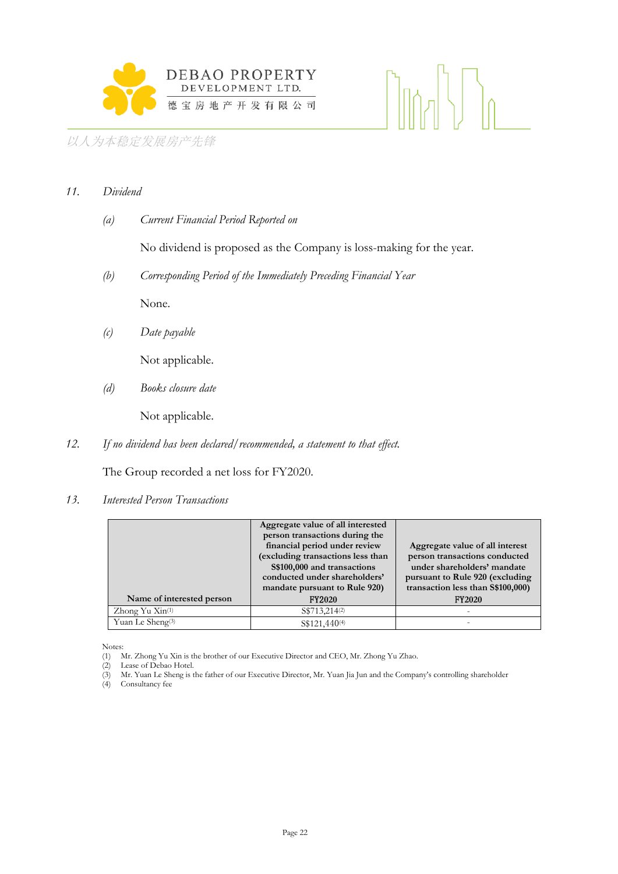

#### *11. Dividend*

*(a) Current Financial Period Reported on*

No dividend is proposed as the Company is loss-making for the year.

*(b) Corresponding Period of the Immediately Preceding Financial Year*

None.

*(c) Date payable*

Not applicable.

*(d) Books closure date*

Not applicable.

*12. If no dividend has been declared/recommended, a statement to that effect.*

The Group recorded a net loss for FY2020.

#### *13. Interested Person Transactions*

|                               | Aggregate value of all interested<br>person transactions during the<br>financial period under review<br>(excluding transactions less than | Aggregate value of all interest<br>person transactions conducted                                     |
|-------------------------------|-------------------------------------------------------------------------------------------------------------------------------------------|------------------------------------------------------------------------------------------------------|
|                               | S\$100,000 and transactions<br>conducted under shareholders'<br>mandate pursuant to Rule 920)                                             | under shareholders' mandate<br>pursuant to Rule 920 (excluding<br>transaction less than \$\$100,000) |
| Name of interested person     | <b>FY2020</b>                                                                                                                             | <b>FY2020</b>                                                                                        |
| Zhong Yu $\mathrm{Xin}^{(1)}$ | S\$713,214 <sup>(2)</sup>                                                                                                                 |                                                                                                      |
| Yuan Le Sheng <sup>(3)</sup>  | S\$121,440 <sup>(4)</sup>                                                                                                                 |                                                                                                      |

Notes:

(1) Mr. Zhong Yu Xin is the brother of our Executive Director and CEO, Mr. Zhong Yu Zhao.

(4) Consultancy fee

<sup>(2)</sup> Lease of Debao Hotel.<br>(3) Mr. Yuan Le Sheng is t Mr. Yuan Le Sheng is the father of our Executive Director, Mr. Yuan Jia Jun and the Company's controlling shareholder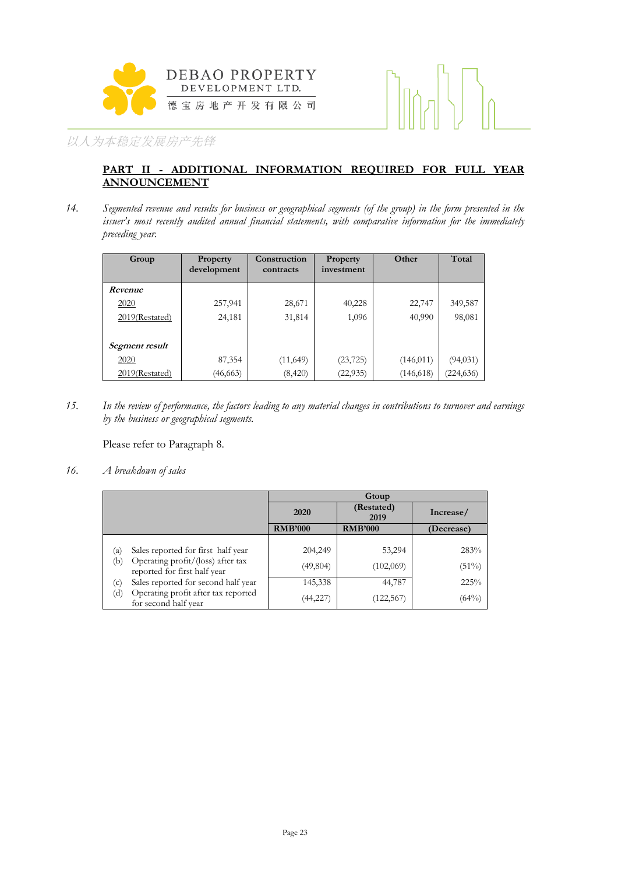



#### **PART II - ADDITIONAL INFORMATION REQUIRED FOR FULL YEAR ANNOUNCEMENT**

*14. Segmented revenue and results for business or geographical segments (of the group) in the form presented in the issuer's most recently audited annual financial statements, with comparative information for the immediately preceding year.*

| Group          | <b>Property</b><br>development | Construction<br>contracts | Property<br>investment | Other      | Total      |
|----------------|--------------------------------|---------------------------|------------------------|------------|------------|
| Revenue        |                                |                           |                        |            |            |
| 2020           | 257,941                        | 28,671                    | 40,228                 | 22,747     | 349,587    |
| 2019(Restated) | 24,181                         | 31,814                    | 1,096                  | 40,990     | 98,081     |
|                |                                |                           |                        |            |            |
| Segment result |                                |                           |                        |            |            |
| 2020           | 87,354                         | (11, 649)                 | (23, 725)              | (146, 011) | (94, 031)  |
| 2019(Restated) | (46, 663)                      | (8,420)                   | (22, 935)              | (146, 618) | (224, 636) |

*15. In the review of performance, the factors leading to any material changes in contributions to turnover and earnings by the business or geographical segments.*

Please refer to Paragraph 8.

*16. A breakdown of sales*

|                                                                          | Gtoup          |                    |            |
|--------------------------------------------------------------------------|----------------|--------------------|------------|
|                                                                          | 2020           | (Restated)<br>2019 | Increase/  |
|                                                                          | <b>RMB'000</b> | <b>RMB'000</b>     | (Decrease) |
|                                                                          |                |                    |            |
| Sales reported for first half year<br>(a)                                | 204,249        | 53,294             | 283%       |
| Operating profit/(loss) after tax<br>(b)<br>reported for first half year | (49, 804)      | (102,069)          | (51%)      |
| Sales reported for second half year<br>(c)                               | 145,338        | 44,787             | 225%       |
| Operating profit after tax reported<br>(d)<br>for second half year       | (44,227        | (122, 567)         | (64%)      |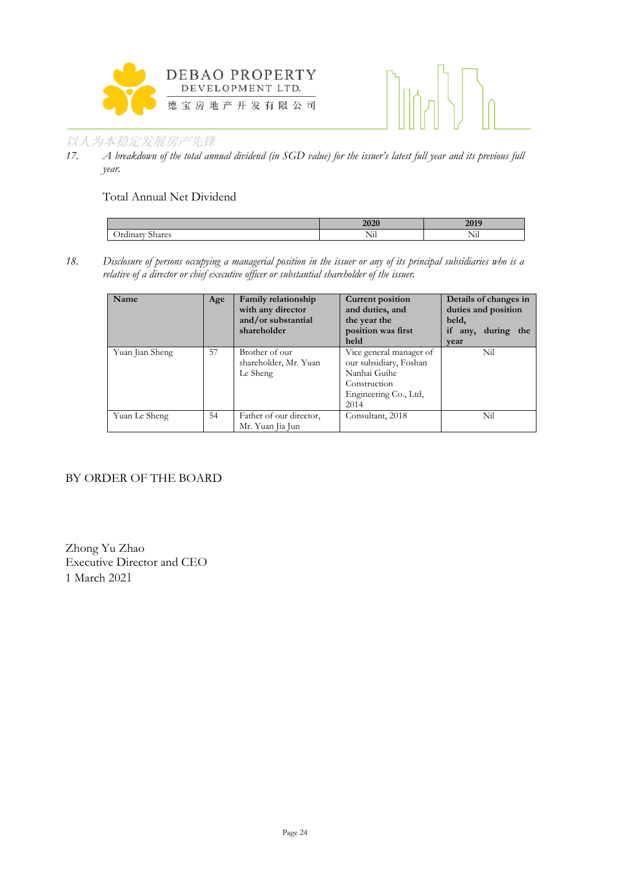



*17. A breakdown of the total annual dividend (in SGD value) for the issuer's latest full year and its previous full year.* 

Total Annual Net Dividend

|                   | w         | $\sim$ $\sim$ $\sim$ |
|-------------------|-----------|----------------------|
| $\sim$<br>.<br>مص | $-1$<br>. | $-1$<br>T ATT        |

*18. Disclosure of persons occupying a managerial position in the issuer or any of its principal subsidiaries who is a relative of a director or chief executive officer or substantial shareholder of the issuer.* 

| <b>Name</b>     | Age | Family relationship<br>with any director<br>and/or substantial<br>shareholder | <b>Current position</b><br>and duties, and<br>the year the<br>position was first<br>held                           | Details of changes in<br>duties and position<br>held,<br>if<br>during the<br>any,<br>vear |
|-----------------|-----|-------------------------------------------------------------------------------|--------------------------------------------------------------------------------------------------------------------|-------------------------------------------------------------------------------------------|
| Yuan Jian Sheng | 57  | Brother of our<br>shareholder, Mr. Yuan<br>Le Sheng                           | Vice general manager of<br>our subsidiary, Foshan<br>Nanhai Guihe<br>Construction<br>Engineering Co., Ltd,<br>2014 | Nil                                                                                       |
| Yuan Le Sheng   | 54  | Father of our director,<br>Mr. Yuan Jia Jun                                   | Consultant, 2018                                                                                                   | Nil                                                                                       |

#### BY ORDER OF THE BOARD

Zhong Yu Zhao Executive Director and CEO 1 March 2021